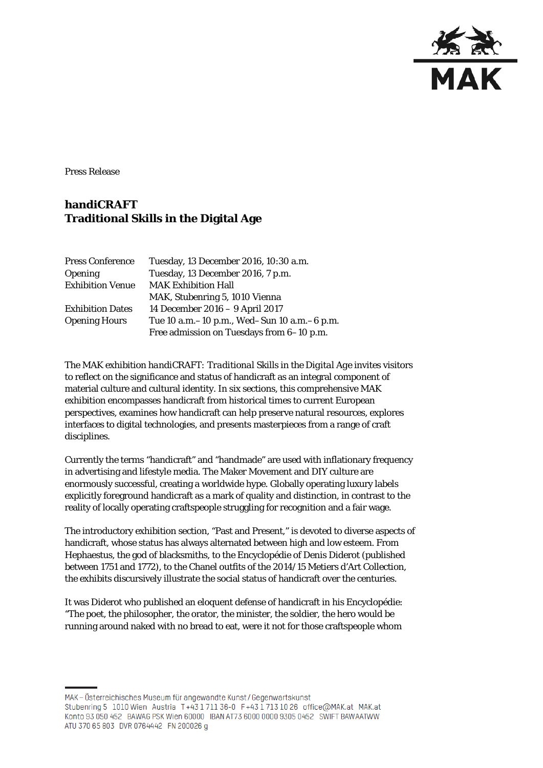

Press Release

## **handiCRAFT Traditional Skills in the Digital Age**

| <b>Press Conference</b> | Tuesday, 13 December 2016, 10:30 a.m.         |
|-------------------------|-----------------------------------------------|
| <b>Opening</b>          | Tuesday, 13 December 2016, 7 p.m.             |
| <b>Exhibition Venue</b> | <b>MAK Exhibition Hall</b>                    |
|                         | MAK, Stubenring 5, 1010 Vienna                |
| <b>Exhibition Dates</b> | 14 December 2016 - 9 April 2017               |
| <b>Opening Hours</b>    | Tue 10 a.m. -10 p.m., Wed-Sun 10 a.m. -6 p.m. |
|                         | Free admission on Tuesdays from 6-10 p.m.     |

The MAK exhibition *handiCRAFT: Traditional Skills in the Digital Age* invites visitors to reflect on the significance and status of handicraft as an integral component of material culture and cultural identity. In six sections, this comprehensive MAK exhibition encompasses handicraft from historical times to current European perspectives, examines how handicraft can help preserve natural resources, explores interfaces to digital technologies, and presents masterpieces from a range of craft disciplines.

Currently the terms "handicraft" and "handmade" are used with inflationary frequency in advertising and lifestyle media. The Maker Movement and DIY culture are enormously successful, creating a worldwide hype. Globally operating luxury labels explicitly foreground handicraft as a mark of quality and distinction, in contrast to the reality of locally operating craftspeople struggling for recognition and a fair wage.

The introductory exhibition section, "Past and Present," is devoted to diverse aspects of handicraft, whose status has always alternated between high and low esteem. From Hephaestus, the god of blacksmiths, to the Encyclopédie of Denis Diderot (published between 1751 and 1772), to the Chanel outfits of the 2014/15 Metiers d'Art Collection, the exhibits discursively illustrate the social status of handicraft over the centuries.

It was Diderot who published an eloquent defense of handicraft in his Encyclopédie: "The poet, the philosopher, the orator, the minister, the soldier, the hero would be running around naked with no bread to eat, were it not for those craftspeople whom

MAK-Österreichisches Museum für angewandte Kunst/Gegenwartskunst Stubenring 5 1010 Wien Austria T+43 1 711 36-0 F+43 1 713 10 26 office@MAK.at MAK.at Konto 93 050 452 BAWAG PSK Wien 60000 IBAN AT73 6000 0000 9305 0452 SWIFT BAWAATWW ATU 370 65 803 DVR 0764442 FN 200026 g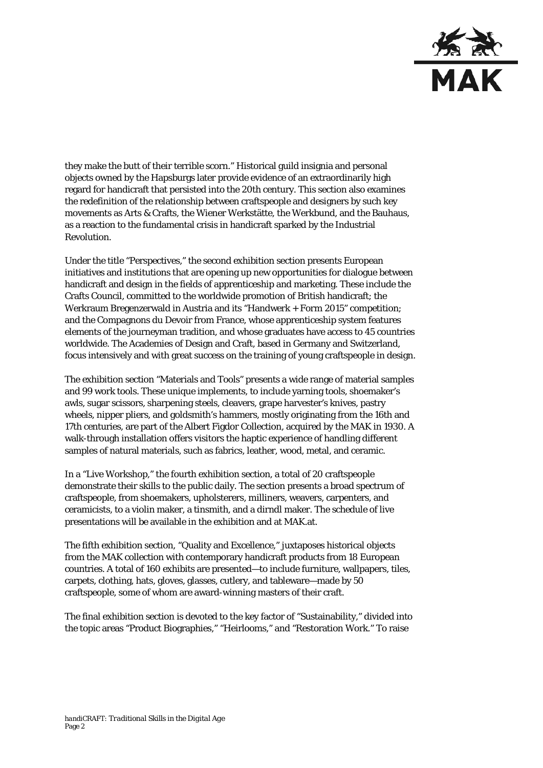

they make the butt of their terrible scorn." Historical guild insignia and personal objects owned by the Hapsburgs later provide evidence of an extraordinarily high regard for handicraft that persisted into the 20th century. This section also examines the redefinition of the relationship between craftspeople and designers by such key movements as Arts & Crafts, the Wiener Werkstätte, the Werkbund, and the Bauhaus, as a reaction to the fundamental crisis in handicraft sparked by the Industrial Revolution.

Under the title "Perspectives," the second exhibition section presents European initiatives and institutions that are opening up new opportunities for dialogue between handicraft and design in the fields of apprenticeship and marketing. These include the Crafts Council, committed to the worldwide promotion of British handicraft; the Werkraum Bregenzerwald in Austria and its "Handwerk + Form 2015" competition; and the Compagnons du Devoir from France, whose apprenticeship system features elements of the journeyman tradition, and whose graduates have access to 45 countries worldwide. The Academies of Design and Craft, based in Germany and Switzerland, focus intensively and with great success on the training of young craftspeople in design.

The exhibition section "Materials and Tools" presents a wide range of material samples and 99 work tools. These unique implements, to include yarning tools, shoemaker's awls, sugar scissors, sharpening steels, cleavers, grape harvester's knives, pastry wheels, nipper pliers, and goldsmith's hammers, mostly originating from the 16th and 17th centuries, are part of the Albert Figdor Collection, acquired by the MAK in 1930. A walk-through installation offers visitors the haptic experience of handling different samples of natural materials, such as fabrics, leather, wood, metal, and ceramic.

In a "Live Workshop," the fourth exhibition section, a total of 20 craftspeople demonstrate their skills to the public daily. The section presents a broad spectrum of craftspeople, from shoemakers, upholsterers, milliners, weavers, carpenters, and ceramicists, to a violin maker, a tinsmith, and a dirndl maker. The schedule of live presentations will be available in the exhibition and at MAK.at.

The fifth exhibition section, "Quality and Excellence," juxtaposes historical objects from the MAK collection with contemporary handicraft products from 18 European countries. A total of 160 exhibits are presented—to include furniture, wallpapers, tiles, carpets, clothing, hats, gloves, glasses, cutlery, and tableware—made by 50 craftspeople, some of whom are award-winning masters of their craft.

The final exhibition section is devoted to the key factor of "Sustainability," divided into the topic areas "Product Biographies," "Heirlooms," and "Restoration Work." To raise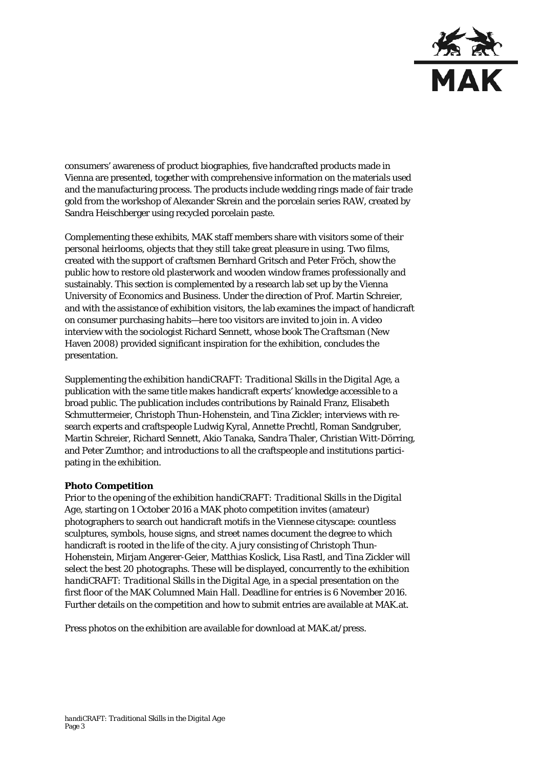

consumers' awareness of product biographies, five handcrafted products made in Vienna are presented, together with comprehensive information on the materials used and the manufacturing process. The products include wedding rings made of fair trade gold from the workshop of Alexander Skrein and the porcelain series RAW, created by Sandra Heischberger using recycled porcelain paste.

Complementing these exhibits, MAK staff members share with visitors some of their personal heirlooms, objects that they still take great pleasure in using. Two films, created with the support of craftsmen Bernhard Gritsch and Peter Fröch, show the public how to restore old plasterwork and wooden window frames professionally and sustainably. This section is complemented by a research lab set up by the Vienna University of Economics and Business. Under the direction of Prof. Martin Schreier, and with the assistance of exhibition visitors, the lab examines the impact of handicraft on consumer purchasing habits—here too visitors are invited to join in. A video interview with the sociologist Richard Sennett, whose book *The Craftsman* (New Haven 2008) provided significant inspiration for the exhibition, concludes the presentation.

Supplementing the exhibition *handiCRAFT: Traditional Skills in the Digital Age*, a publication with the same title makes handicraft experts' knowledge accessible to a broad public. The publication includes contributions by Rainald Franz, Elisabeth Schmuttermeier, Christoph Thun-Hohenstein, and Tina Zickler; interviews with research experts and craftspeople Ludwig Kyral, Annette Prechtl, Roman Sandgruber, Martin Schreier, Richard Sennett, Akio Tanaka, Sandra Thaler, Christian Witt-Dörring, and Peter Zumthor; and introductions to all the craftspeople and institutions participating in the exhibition.

## **Photo Competition**

Prior to the opening of the exhibition *handiCRAFT: Traditional Skills in the Digital Age*, starting on 1 October 2016 a MAK photo competition invites (amateur) photographers to search out handicraft motifs in the Viennese cityscape: countless sculptures, symbols, house signs, and street names document the degree to which handicraft is rooted in the life of the city. A jury consisting of Christoph Thun-Hohenstein, Mirjam Angerer-Geier, Matthias Koslick, Lisa Rastl, and Tina Zickler will select the best 20 photographs. These will be displayed, concurrently to the exhibition *handiCRAFT: Traditional Skills in the Digital Age*, in a special presentation on the first floor of the MAK Columned Main Hall. Deadline for entries is 6 November 2016. Further details on the competition and how to submit entries are available at MAK.at.

Press photos on the exhibition are available for download at MAK.at/press.